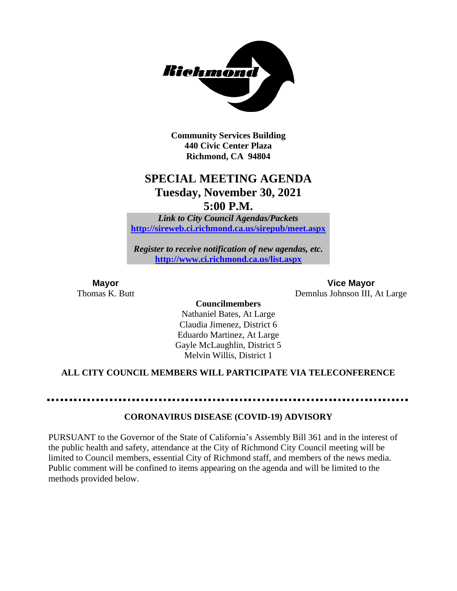

**Community Services Building 440 Civic Center Plaza Richmond, CA 94804**

## **SPECIAL MEETING AGENDA Tuesday, November 30, 2021 5:00 P.M.**

*Link to City Council Agendas/Packets* **<http://sireweb.ci.richmond.ca.us/sirepub/meet.aspx>**

*Register to receive notification of new agendas, etc.* **<http://www.ci.richmond.ca.us/list.aspx>**

**Mayor Vice Mayor** Thomas K. Butt Demnlus Johnson III, At Large

> **Councilmembers** Nathaniel Bates, At Large Claudia Jimenez, District 6 Eduardo Martinez, At Large Gayle McLaughlin, District 5 Melvin Willis, District 1

### **ALL CITY COUNCIL MEMBERS WILL PARTICIPATE VIA TELECONFERENCE**

### **CORONAVIRUS DISEASE (COVID-19) ADVISORY**

PURSUANT to the Governor of the State of California's Assembly Bill 361 and in the interest of the public health and safety, attendance at the City of Richmond City Council meeting will be limited to Council members, essential City of Richmond staff, and members of the news media. Public comment will be confined to items appearing on the agenda and will be limited to the methods provided below.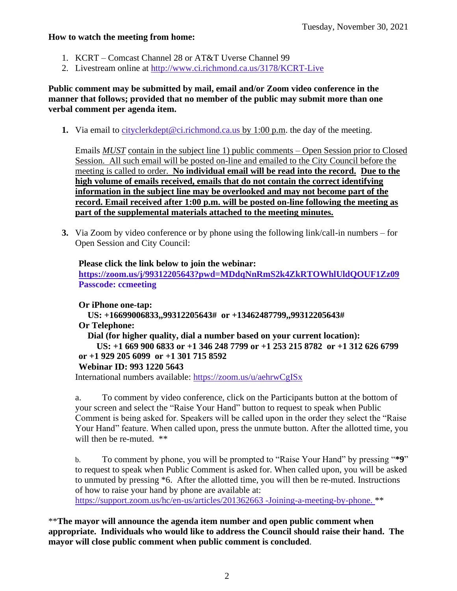### **How to watch the meeting from home:**

- 1. KCRT Comcast Channel 28 or AT&T Uverse Channel 99
- 2. Livestream online at<http://www.ci.richmond.ca.us/3178/KCRT-Live>

**Public comment may be submitted by mail, email and/or Zoom video conference in the manner that follows; provided that no member of the public may submit more than one verbal comment per agenda item.** 

**1.** Via email to [cityclerkdept@ci.richmond.ca.us](mailto:cityclerkdept@ci.richmond.ca.us) by 1:00 p.m. the day of the meeting.

Emails *MUST* contain in the subject line 1) public comments – Open Session prior to Closed Session. All such email will be posted on-line and emailed to the City Council before the meeting is called to order. **No individual email will be read into the record. Due to the high volume of emails received, emails that do not contain the correct identifying information in the subject line may be overlooked and may not become part of the record. Email received after 1:00 p.m. will be posted on-line following the meeting as part of the supplemental materials attached to the meeting minutes.**

**3.** Via Zoom by video conference or by phone using the following link/call-in numbers – for Open Session and City Council:

**Please click the link below to join the webinar: <https://zoom.us/j/99312205643?pwd=MDdqNnRmS2k4ZkRTOWhlUldQOUF1Zz09> Passcode: ccmeeting**

**Or iPhone one-tap: US: +16699006833,,99312205643# or +13462487799,,99312205643# Or Telephone: Dial (for higher quality, dial a number based on your current location): US: +1 669 900 6833 or +1 346 248 7799 or +1 253 215 8782 or +1 312 626 6799 or +1 929 205 6099 or +1 301 715 8592 Webinar ID: 993 1220 5643**

International numbers available: <https://zoom.us/u/aehrwCgISx>

a. To comment by video conference, click on the Participants button at the bottom of your screen and select the "Raise Your Hand" button to request to speak when Public Comment is being asked for. Speakers will be called upon in the order they select the "Raise Your Hand" feature. When called upon, press the unmute button. After the allotted time, you will then be re-muted. \*\*

b. To comment by phone, you will be prompted to "Raise Your Hand" by pressing "**\*9**" to request to speak when Public Comment is asked for. When called upon, you will be asked to unmuted by pressing \*6. After the allotted time, you will then be re-muted. Instructions of how to raise your hand by phone are available at: [https://support.zoom.us/hc/en-us/articles/201362663 -Joining-a-meeting-by-phone.](https://support.zoom.us/hc/en-us/articles/201362663) \*\*

\*\***The mayor will announce the agenda item number and open public comment when appropriate. Individuals who would like to address the Council should raise their hand. The mayor will close public comment when public comment is concluded**.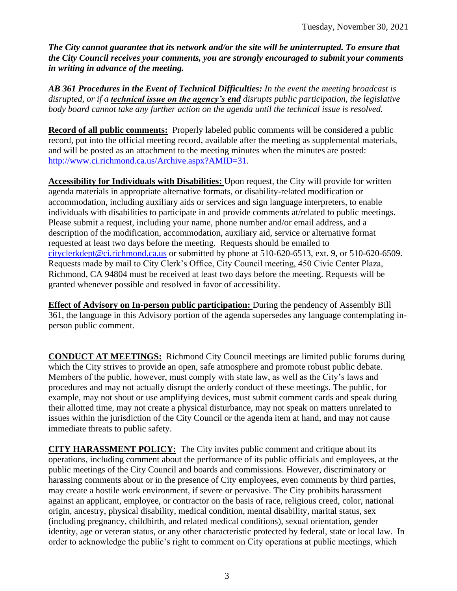*The City cannot guarantee that its network and/or the site will be uninterrupted. To ensure that the City Council receives your comments, you are strongly encouraged to submit your comments in writing in advance of the meeting.* 

*AB 361 Procedures in the Event of Technical Difficulties: In the event the meeting broadcast is disrupted, or if a technical issue on the agency's end disrupts public participation, the legislative body board cannot take any further action on the agenda until the technical issue is resolved.*

**Record of all public comments:** Properly labeled public comments will be considered a public record, put into the official meeting record, available after the meeting as supplemental materials, and will be posted as an attachment to the meeting minutes when the minutes are posted: [http://www.ci.richmond.ca.us/Archive.aspx?AMID=31.](http://www.ci.richmond.ca.us/Archive.aspx?AMID=31)

**Accessibility for Individuals with Disabilities:** Upon request, the City will provide for written agenda materials in appropriate alternative formats, or disability-related modification or accommodation, including auxiliary aids or services and sign language interpreters, to enable individuals with disabilities to participate in and provide comments at/related to public meetings. Please submit a request, including your name, phone number and/or email address, and a description of the modification, accommodation, auxiliary aid, service or alternative format requested at least two days before the meeting. Requests should be emailed to [cityclerkdept@ci.richmond.ca.us](mailto:cityclerkdept@ci.richmond.ca.us) or submitted by phone at 510-620-6513, ext. 9, or 510-620-6509. Requests made by mail to City Clerk's Office, City Council meeting, 450 Civic Center Plaza, Richmond, CA 94804 must be received at least two days before the meeting. Requests will be granted whenever possible and resolved in favor of accessibility.

**Effect of Advisory on In-person public participation:** During the pendency of Assembly Bill 361, the language in this Advisory portion of the agenda supersedes any language contemplating inperson public comment.

**CONDUCT AT MEETINGS:** Richmond City Council meetings are limited public forums during which the City strives to provide an open, safe atmosphere and promote robust public debate. Members of the public, however, must comply with state law, as well as the City's laws and procedures and may not actually disrupt the orderly conduct of these meetings. The public, for example, may not shout or use amplifying devices, must submit comment cards and speak during their allotted time, may not create a physical disturbance, may not speak on matters unrelated to issues within the jurisdiction of the City Council or the agenda item at hand, and may not cause immediate threats to public safety.

**CITY HARASSMENT POLICY:** The City invites public comment and critique about its operations, including comment about the performance of its public officials and employees, at the public meetings of the City Council and boards and commissions. However, discriminatory or harassing comments about or in the presence of City employees, even comments by third parties, may create a hostile work environment, if severe or pervasive. The City prohibits harassment against an applicant, employee, or contractor on the basis of race, religious creed, color, national origin, ancestry, physical disability, medical condition, mental disability, marital status, sex (including pregnancy, childbirth, and related medical conditions), sexual orientation, gender identity, age or veteran status, or any other characteristic protected by federal, state or local law. In order to acknowledge the public's right to comment on City operations at public meetings, which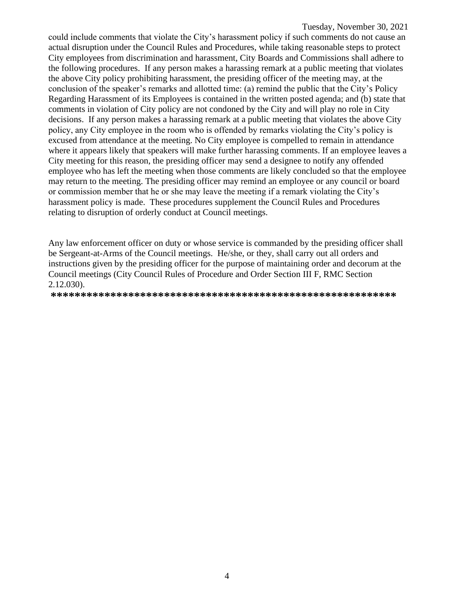could include comments that violate the City's harassment policy if such comments do not cause an actual disruption under the Council Rules and Procedures, while taking reasonable steps to protect City employees from discrimination and harassment, City Boards and Commissions shall adhere to the following procedures. If any person makes a harassing remark at a public meeting that violates the above City policy prohibiting harassment, the presiding officer of the meeting may, at the conclusion of the speaker's remarks and allotted time: (a) remind the public that the City's Policy Regarding Harassment of its Employees is contained in the written posted agenda; and (b) state that comments in violation of City policy are not condoned by the City and will play no role in City decisions. If any person makes a harassing remark at a public meeting that violates the above City policy, any City employee in the room who is offended by remarks violating the City's policy is excused from attendance at the meeting. No City employee is compelled to remain in attendance where it appears likely that speakers will make further harassing comments. If an employee leaves a City meeting for this reason, the presiding officer may send a designee to notify any offended employee who has left the meeting when those comments are likely concluded so that the employee may return to the meeting. The presiding officer may remind an employee or any council or board or commission member that he or she may leave the meeting if a remark violating the City's harassment policy is made. These procedures supplement the Council Rules and Procedures relating to disruption of orderly conduct at Council meetings.

Any law enforcement officer on duty or whose service is commanded by the presiding officer shall be Sergeant-at-Arms of the Council meetings. He/she, or they, shall carry out all orders and instructions given by the presiding officer for the purpose of maintaining order and decorum at the Council meetings (City Council Rules of Procedure and Order Section III F, RMC Section 2.12.030).

**\*\*\*\*\*\*\*\*\*\*\*\*\*\*\*\*\*\*\*\*\*\*\*\*\*\*\*\*\*\*\*\*\*\*\*\*\*\*\*\*\*\*\*\*\*\*\*\*\*\*\*\*\*\*\*\*\*\***